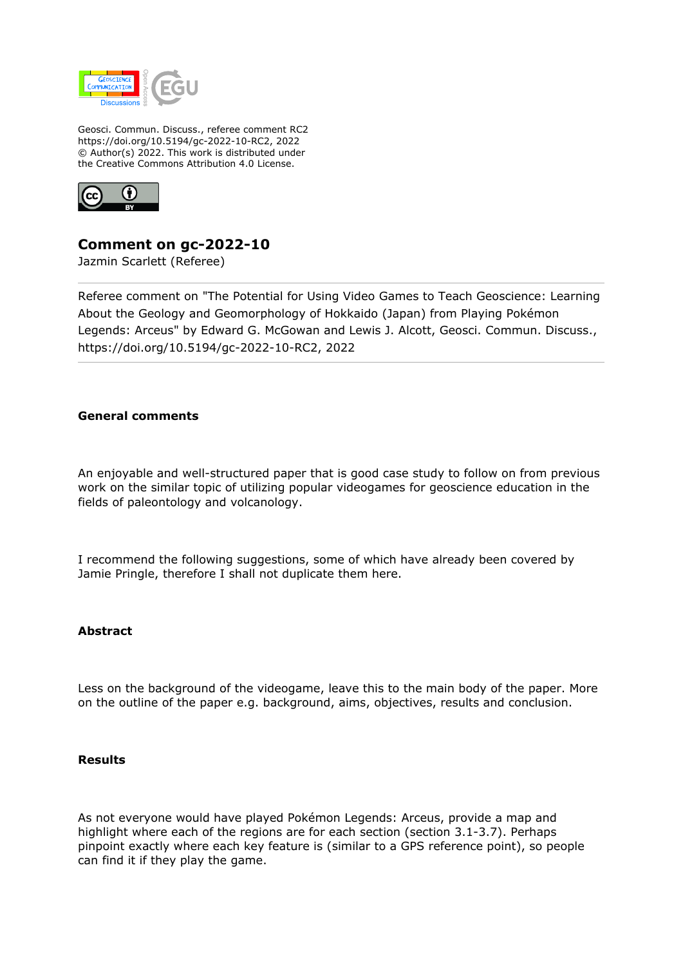

Geosci. Commun. Discuss., referee comment RC2 https://doi.org/10.5194/gc-2022-10-RC2, 2022 © Author(s) 2022. This work is distributed under the Creative Commons Attribution 4.0 License.



**Comment on gc-2022-10**

Jazmin Scarlett (Referee)

Referee comment on "The Potential for Using Video Games to Teach Geoscience: Learning About the Geology and Geomorphology of Hokkaido (Japan) from Playing Pokémon Legends: Arceus" by Edward G. McGowan and Lewis J. Alcott, Geosci. Commun. Discuss., https://doi.org/10.5194/gc-2022-10-RC2, 2022

# **General comments**

An enjoyable and well-structured paper that is good case study to follow on from previous work on the similar topic of utilizing popular videogames for geoscience education in the fields of paleontology and volcanology.

I recommend the following suggestions, some of which have already been covered by Jamie Pringle, therefore I shall not duplicate them here.

#### **Abstract**

Less on the background of the videogame, leave this to the main body of the paper. More on the outline of the paper e.g. background, aims, objectives, results and conclusion.

#### **Results**

As not everyone would have played Pokémon Legends: Arceus, provide a map and highlight where each of the regions are for each section (section 3.1-3.7). Perhaps pinpoint exactly where each key feature is (similar to a GPS reference point), so people can find it if they play the game.